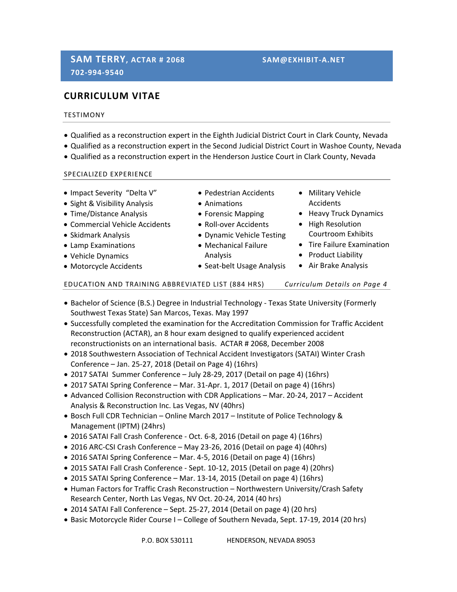# **CURRICULUM VITAE**

## **TESTIMONY**

- Qualified as a reconstruction expert in the Eighth Judicial District Court in Clark County, Nevada
- Qualified as a reconstruction expert in the Second Judicial District Court in Washoe County, Nevada
- Qualified as a reconstruction expert in the Henderson Justice Court in Clark County, Nevada

#### SPECIALIZED EXPERIENCE

- Impact Severity "Delta V"
- Sight & Visibility Analysis
- Time/Distance Analysis
- Commercial Vehicle Accidents
- Skidmark Analysis
- Lamp Examinations
- Vehicle Dynamics
- Motorcycle Accidents
- Pedestrian Accidents
- Animations
- Forensic Mapping
- Roll-over Accidents
- Dynamic Vehicle Testing
- Mechanical Failure Analysis
- Seat-belt Usage Analysis
- 
- 

## EDUCATION AND TRAINING ABBREVIATED LIST (884 HRS) *Curriculum Details on Page 4*

- Bachelor of Science (B.S.) Degree in Industrial Technology Texas State University (Formerly Southwest Texas State) San Marcos, Texas. May 1997
- Successfully completed the examination for the Accreditation Commission for Traffic Accident Reconstruction (ACTAR), an 8 hour exam designed to qualify experienced accident reconstructionists on an international basis. ACTAR # 2068, December 2008
- 2018 Southwestern Association of Technical Accident Investigators (SATAI) Winter Crash Conference – Jan. 25‐27, 2018 (Detail on Page 4) (16hrs)
- 2017 SATAI Summer Conference July 28‐29, 2017 (Detail on page 4) (16hrs)
- 2017 SATAI Spring Conference Mar. 31-Apr. 1, 2017 (Detail on page 4) (16hrs)
- Advanced Collision Reconstruction with CDR Applications Mar. 20-24, 2017 Accident Analysis & Reconstruction Inc. Las Vegas, NV (40hrs)
- Bosch Full CDR Technician Online March 2017 Institute of Police Technology & Management (IPTM) (24hrs)
- 2016 SATAI Fall Crash Conference Oct. 6-8, 2016 (Detail on page 4) (16hrs)
- 2016 ARC‐CSI Crash Conference May 23‐26, 2016 (Detail on page 4) (40hrs)
- 2016 SATAI Spring Conference Mar. 4-5, 2016 (Detail on page 4) (16hrs)
- 2015 SATAI Fall Crash Conference Sept. 10-12, 2015 (Detail on page 4) (20hrs)
- 2015 SATAI Spring Conference Mar. 13‐14, 2015 (Detail on page 4) (16hrs)
- Human Factors for Traffic Crash Reconstruction Northwestern University/Crash Safety Research Center, North Las Vegas, NV Oct. 20‐24, 2014 (40 hrs)
- 2014 SATAI Fall Conference Sept. 25‐27, 2014 (Detail on page 4) (20 hrs)
- Basic Motorcycle Rider Course I College of Southern Nevada, Sept. 17-19, 2014 (20 hrs)
- Accidents • Heavy Truck Dynamics • High Resolution
	- Courtroom Exhibits
	- Tire Failure Examination
	- Product Liability

Military Vehicle

Air Brake Analysis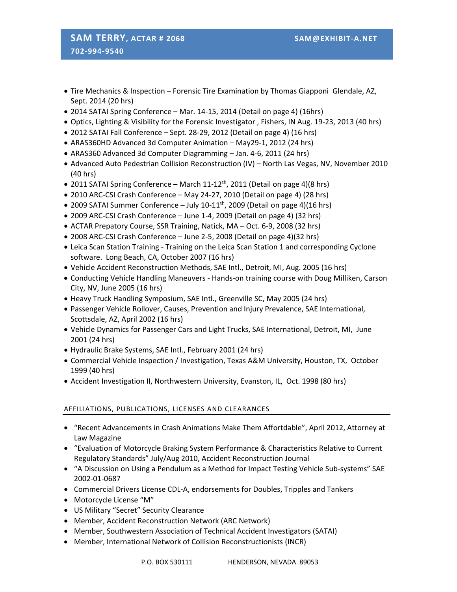# **SAM TERRY, ACTAR # 2068 SAM@EXHIBIT‐A.NET 702‐994‐9540**

- Tire Mechanics & Inspection Forensic Tire Examination by Thomas Giapponi Glendale, AZ, Sept. 2014 (20 hrs)
- 2014 SATAI Spring Conference Mar. 14-15, 2014 (Detail on page 4) (16hrs)
- Optics, Lighting & Visibility for the Forensic Investigator , Fishers, IN Aug. 19‐23, 2013 (40 hrs)
- 2012 SATAI Fall Conference Sept. 28‐29, 2012 (Detail on page 4) (16 hrs)
- ARAS360HD Advanced 3d Computer Animation May29‐1, 2012 (24 hrs)
- ARAS360 Advanced 3d Computer Diagramming Jan. 4-6, 2011 (24 hrs)
- Advanced Auto Pedestrian Collision Reconstruction (IV) North Las Vegas, NV, November 2010 (40 hrs)
- 2011 SATAI Spring Conference March 11-12<sup>th</sup>, 2011 (Detail on page 4)(8 hrs)
- 2010 ARC-CSI Crash Conference May 24-27, 2010 (Detail on page 4) (28 hrs)
- 2009 SATAI Summer Conference July 10-11<sup>th</sup>, 2009 (Detail on page 4)(16 hrs)
- 2009 ARC-CSI Crash Conference June 1-4, 2009 (Detail on page 4) (32 hrs)
- ACTAR Prepatory Course, SSR Training, Natick, MA Oct. 6-9, 2008 (32 hrs)
- 2008 ARC-CSI Crash Conference June 2-5, 2008 (Detail on page 4)(32 hrs)
- Leica Scan Station Training Training on the Leica Scan Station 1 and corresponding Cyclone software. Long Beach, CA, October 2007 (16 hrs)
- Vehicle Accident Reconstruction Methods, SAE Intl., Detroit, MI, Aug. 2005 (16 hrs)
- Conducting Vehicle Handling Maneuvers ‐ Hands‐on training course with Doug Milliken, Carson City, NV, June 2005 (16 hrs)
- Heavy Truck Handling Symposium, SAE Intl., Greenville SC, May 2005 (24 hrs)
- Passenger Vehicle Rollover, Causes, Prevention and Injury Prevalence, SAE International, Scottsdale, AZ, April 2002 (16 hrs)
- Vehicle Dynamics for Passenger Cars and Light Trucks, SAE International, Detroit, MI, June 2001 (24 hrs)
- Hydraulic Brake Systems, SAE Intl., February 2001 (24 hrs)
- Commercial Vehicle Inspection / Investigation, Texas A&M University, Houston, TX, October 1999 (40 hrs)
- Accident Investigation II, Northwestern University, Evanston, IL, Oct. 1998 (80 hrs)

## AFFILIATIONS, PUBLICATIONS, LICENSES AND CLEARANCES

- "Recent Advancements in Crash Animations Make Them Affortdable", April 2012, Attorney at Law Magazine
- "Evaluation of Motorcycle Braking System Performance & Characteristics Relative to Current Regulatory Standards" July/Aug 2010, Accident Reconstruction Journal
- "A Discussion on Using a Pendulum as a Method for Impact Testing Vehicle Sub‐systems" SAE 2002‐01‐0687
- Commercial Drivers License CDL-A, endorsements for Doubles, Tripples and Tankers
- Motorcycle License "M"
- US Military "Secret" Security Clearance
- Member, Accident Reconstruction Network (ARC Network)
- Member, Southwestern Association of Technical Accident Investigators (SATAI)
- Member, International Network of Collision Reconstructionists (INCR)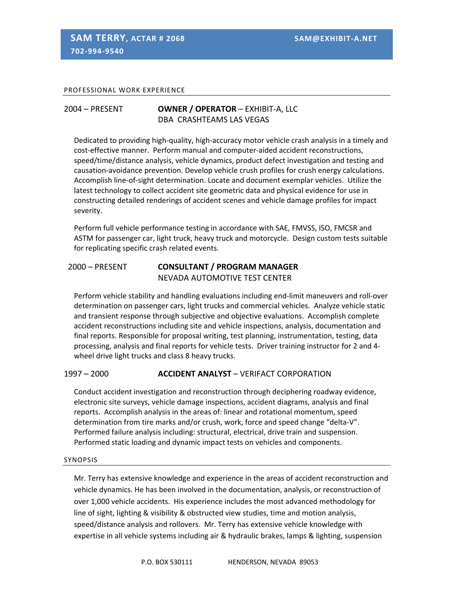### PROFESSIONAL WORK EXPERIENCE

# 2004 – PRESENT **OWNER / OPERATOR** – EXHIBIT‐A, LLC DBA CRASHTEAMS LAS VEGAS

Dedicated to providing high‐quality, high‐accuracy motor vehicle crash analysis in a timely and cost-effective manner. Perform manual and computer-aided accident reconstructions, speed/time/distance analysis, vehicle dynamics, product defect investigation and testing and causation‐avoidance prevention. Develop vehicle crush profiles for crush energy calculations. Accomplish line‐of‐sight determination. Locate and document exemplar vehicles. Utilize the latest technology to collect accident site geometric data and physical evidence for use in constructing detailed renderings of accident scenes and vehicle damage profiles for impact severity.

Perform full vehicle performance testing in accordance with SAE, FMVSS, ISO, FMCSR and ASTM for passenger car, light truck, heavy truck and motorcycle. Design custom tests suitable for replicating specific crash related events.

# 2000 – PRESENT **CONSULTANT / PROGRAM MANAGER** NEVADA AUTOMOTIVE TEST CENTER

Perform vehicle stability and handling evaluations including end‐limit maneuvers and roll‐over determination on passenger cars, light trucks and commercial vehicles. Analyze vehicle static and transient response through subjective and objective evaluations. Accomplish complete accident reconstructions including site and vehicle inspections, analysis, documentation and final reports. Responsible for proposal writing, test planning, instrumentation, testing, data processing, analysis and final reports for vehicle tests. Driver training instructor for 2 and 4‐ wheel drive light trucks and class 8 heavy trucks.

## 1997 – 2000 **ACCIDENT ANALYST** – VERIFACT CORPORATION

Conduct accident investigation and reconstruction through deciphering roadway evidence, electronic site surveys, vehicle damage inspections, accident diagrams, analysis and final reports. Accomplish analysis in the areas of: linear and rotational momentum, speed determination from tire marks and/or crush, work, force and speed change "delta‐V". Performed failure analysis including: structural, electrical, drive train and suspension. Performed static loading and dynamic impact tests on vehicles and components.

#### SYNOPSIS

Mr. Terry has extensive knowledge and experience in the areas of accident reconstruction and vehicle dynamics. He has been involved in the documentation, analysis, or reconstruction of over 1,000 vehicle accidents. His experience includes the most advanced methodology for line of sight, lighting & visibility & obstructed view studies, time and motion analysis, speed/distance analysis and rollovers. Mr. Terry has extensive vehicle knowledge with expertise in all vehicle systems including air & hydraulic brakes, lamps & lighting, suspension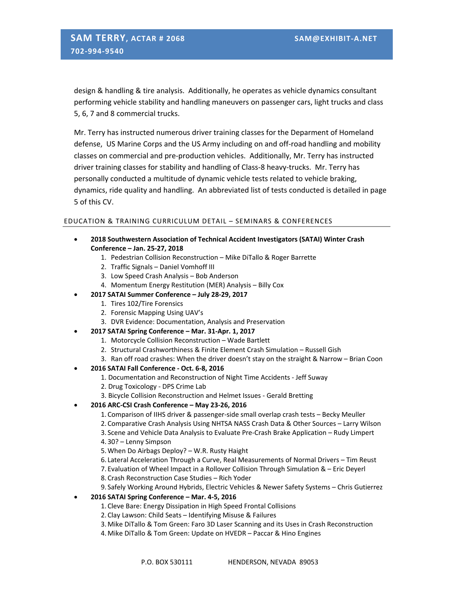design & handling & tire analysis. Additionally, he operates as vehicle dynamics consultant performing vehicle stability and handling maneuvers on passenger cars, light trucks and class 5, 6, 7 and 8 commercial trucks.

Mr. Terry has instructed numerous driver training classes for the Deparment of Homeland defense, US Marine Corps and the US Army including on and off-road handling and mobility classes on commercial and pre‐production vehicles. Additionally, Mr. Terry has instructed driver training classes for stability and handling of Class‐8 heavy‐trucks. Mr. Terry has personally conducted a multitude of dynamic vehicle tests related to vehicle braking, dynamics, ride quality and handling. An abbreviated list of tests conducted is detailed in page 5 of this CV.

## EDUCATION & TRAINING CURRICULUM DETAIL – SEMINARS & CONFERENCES

- **2018 Southwestern Association of Technical Accident Investigators (SATAI) Winter Crash Conference – Jan. 25‐27, 2018**
	- 1. Pedestrian Collision Reconstruction Mike DiTallo & Roger Barrette
	- 2. Traffic Signals Daniel Vomhoff III
	- 3. Low Speed Crash Analysis Bob Anderson
	- 4. Momentum Energy Restitution (MER) Analysis Billy Cox
	- **2017 SATAI Summer Conference – July 28‐29, 2017**
		- 1. Tires 102/Tire Forensics
			- 2. Forensic Mapping Using UAV's
			- 3. DVR Evidence: Documentation, Analysis and Preservation
- **2017 SATAI Spring Conference – Mar. 31‐Apr. 1, 2017**
	- 1. Motorcycle Collision Reconstruction Wade Bartlett
	- 2. Structural Crashworthiness & Finite Element Crash Simulation Russell Gish
	- 3. Ran off road crashes: When the driver doesn't stay on the straight & Narrow Brian Coon

#### **2016 SATAI Fall Conference ‐ Oct. 6‐8, 2016**

- 1. Documentation and Reconstruction of Night Time Accidents ‐ Jeff Suway
- 2. Drug Toxicology ‐ DPS Crime Lab
- 3. Bicycle Collision Reconstruction and Helmet Issues ‐ Gerald Bretting
- **2016 ARC‐CSI Crash Conference – May 23‐26, 2016**
	- 1. Comparison of IIHS driver & passenger‐side small overlap crash tests Becky Meuller
	- 2. Comparative Crash Analysis Using NHTSA NASS Crash Data & Other Sources Larry Wilson
	- 3. Scene and Vehicle Data Analysis to Evaluate Pre‐Crash Brake Application Rudy Limpert 4. 30? – Lenny Simpson
	- 5.When Do Airbags Deploy? W.R. Rusty Haight
	- 6. Lateral Acceleration Through a Curve, Real Measurements of Normal Drivers Tim Reust
	- 7. Evaluation of Wheel Impact in a Rollover Collision Through Simulation & Eric Deyerl
	- 8. Crash Reconstruction Case Studies Rich Yoder
	- 9. Safely Working Around Hybrids, Electric Vehicles & Newer Safety Systems Chris Gutierrez
- **2016 SATAI Spring Conference – Mar. 4‐5, 2016**
	- 1. Cleve Bare: Energy Dissipation in High Speed Frontal Collisions
	- 2. Clay Lawson: Child Seats Identifying Misuse & Failures
	- 3.Mike DiTallo & Tom Green: Faro 3D Laser Scanning and its Uses in Crash Reconstruction
	- 4.Mike DiTallo & Tom Green: Update on HVEDR Paccar & Hino Engines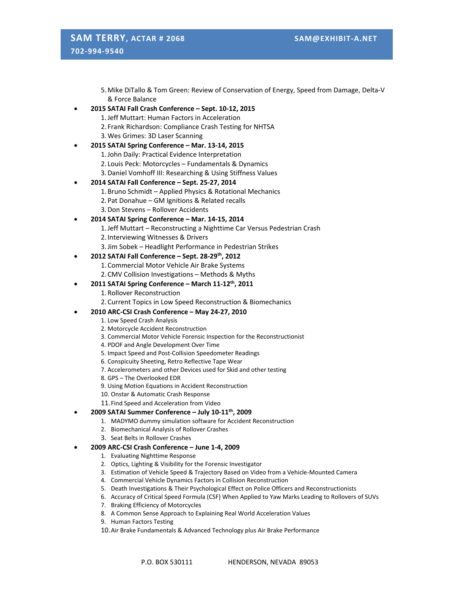# **SAM TERRY, ACTAR # 2068 SAM@EXHIBIT‐A.NET 702‐994‐9540**

5.Mike DiTallo & Tom Green: Review of Conservation of Energy, Speed from Damage, Delta‐V & Force Balance

- **2015 SATAI Fall Crash Conference – Sept. 10‐12, 2015**
	- 1.Jeff Muttart: Human Factors in Acceleration
	- 2. Frank Richardson: Compliance Crash Testing for NHTSA
	- 3.Wes Grimes: 3D Laser Scanning

#### **2015 SATAI Spring Conference – Mar. 13‐14, 2015**

- 1.John Daily: Practical Evidence Interpretation
- 2. Louis Peck: Motorcycles Fundamentals & Dynamics
- 3.Daniel Vomhoff III: Researching & Using Stiffness Values

#### **2014 SATAI Fall Conference – Sept. 25‐27, 2014**

- 1. Bruno Schmidt Applied Physics & Rotational Mechanics
- 2. Pat Donahue GM Ignitions & Related recalls
- 3.Don Stevens Rollover Accidents

#### **2014 SATAI Spring Conference – Mar. 14‐15, 2014**

- 1.Jeff Muttart Reconstructing a Nighttime Car Versus Pedestrian Crash
- 2. Interviewing Witnesses & Drivers
- 3.Jim Sobek Headlight Performance in Pedestrian Strikes

#### **2012 SATAI Fall Conference – Sept. 28‐29th, 2012**

- 1. Commercial Motor Vehicle Air Brake Systems
- 2. CMV Collision Investigations Methods & Myths

#### **2011 SATAI Spring Conference – March 11‐12th, 2011**

- 1. Rollover Reconstruction
- 2. Current Topics in Low Speed Reconstruction & Biomechanics

#### **2010 ARC‐CSI Crash Conference – May 24‐27, 2010**

- 1. Low Speed Crash Analysis
- 2. Motorcycle Accident Reconstruction
- 3. Commercial Motor Vehicle Forensic Inspection for the Reconstructionist
- 4. PDOF and Angle Development Over Time
- 5. Impact Speed and Post‐Collision Speedometer Readings
- 6. Conspicuity Sheeting, Retro Reflective Tape Wear
- 7. Accelerometers and other Devices used for Skid and other testing
- 8. GPS The Overlooked EDR
- 9. Using Motion Equations in Accident Reconstruction
- 10. Onstar & Automatic Crash Response
- 11.Find Speed and Acceleration from Video

#### **2009 SATAI Summer Conference – July 10‐11th, 2009**

- 1. MADYMO dummy simulation software for Accident Reconstruction
- 2. Biomechanical Analysis of Rollover Crashes
- 3. Seat Belts in Rollover Crashes

#### **2009 ARC‐CSI Crash Conference – June 1‐4, 2009**

- 1. Evaluating Nighttime Response
- 2. Optics, Lighting & Visibility for the Forensic Investigator
- 3. Estimation of Vehicle Speed & Trajectory Based on Video from a Vehicle‐Mounted Camera
- 4. Commercial Vehicle Dynamics Factors in Collision Reconstruction
- 5. Death Investigations & Their Psychological Effect on Police Officers and Reconstructionists
- 6. Accuracy of Critical Speed Formula (CSF) When Applied to Yaw Marks Leading to Rollovers of SUVs
- 7. Braking Efficiency of Motorcycles
- 8. A Common Sense Approach to Explaining Real World Acceleration Values
- 9. Human Factors Testing
- 10.Air Brake Fundamentals & Advanced Technology plus Air Brake Performance